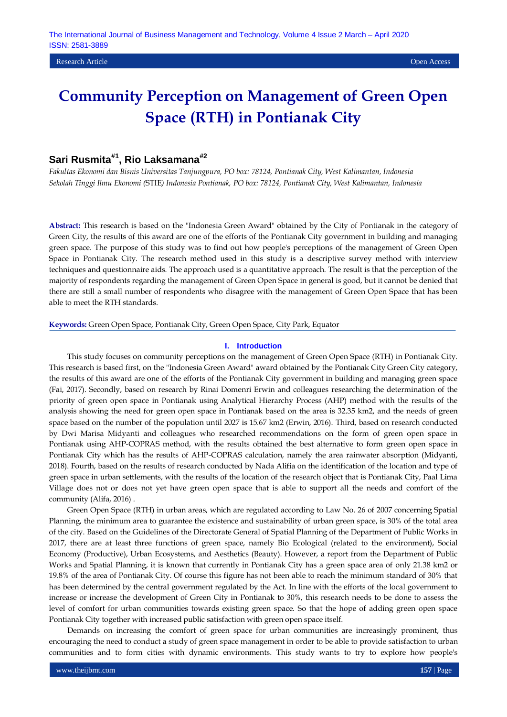# **Sari Rusmita#1, Rio Laksamana#2**

*Fakultas Ekonomi dan Bisnis Universitas Tanjungpura, PO box: 78124, Pontianak City, West Kalimantan, Indonesia Sekolah Tinggi Ilmu Ekonomi (*STIE*) Indonesia Pontianak, PO box: 78124, Pontianak City, West Kalimantan, Indonesia*

**Abstract:** This research is based on the "Indonesia Green Award" obtained by the City of Pontianak in the category of Green City, the results of this award are one of the efforts of the Pontianak City government in building and managing green space. The purpose of this study was to find out how people's perceptions of the management of Green Open Space in Pontianak City. The research method used in this study is a descriptive survey method with interview techniques and questionnaire aids. The approach used is a quantitative approach. The result is that the perception of the majority of respondents regarding the management of Green Open Space in general is good, but it cannot be denied that there are still a small number of respondents who disagree with the management of Green Open Space that has been able to meet the RTH standards.

**Keywords:** Green Open Space, Pontianak City, Green Open Space, City Park, Equator

#### **I. Introduction**

This study focuses on community perceptions on the management of Green Open Space (RTH) in Pontianak City. This research is based first, on the "Indonesia Green Award" award obtained by the Pontianak City Green City category, the results of this award are one of the efforts of the Pontianak City government in building and managing green space (Fai, 2017). Secondly, based on research by Rinai Domenri Erwin and colleagues researching the determination of the priority of green open space in Pontianak using Analytical Hierarchy Process (AHP) method with the results of the analysis showing the need for green open space in Pontianak based on the area is 32.35 km2, and the needs of green space based on the number of the population until 2027 is 15.67 km2 (Erwin, 2016). Third, based on research conducted by Dwi Marisa Midyanti and colleagues who researched recommendations on the form of green open space in Pontianak using AHP-COPRAS method, with the results obtained the best alternative to form green open space in Pontianak City which has the results of AHP-COPRAS calculation, namely the area rainwater absorption (Midyanti, 2018). Fourth, based on the results of research conducted by Nada Alifia on the identification of the location and type of green space in urban settlements, with the results of the location of the research object that is Pontianak City, Paal Lima Village does not or does not yet have green open space that is able to support all the needs and comfort of the community (Alifa, 2016) .

Green Open Space (RTH) in urban areas, which are regulated according to Law No. 26 of 2007 concerning Spatial Planning, the minimum area to guarantee the existence and sustainability of urban green space, is 30% of the total area of the city. Based on the Guidelines of the Directorate General of Spatial Planning of the Department of Public Works in 2017, there are at least three functions of green space, namely Bio Ecological (related to the environment), Social Economy (Productive), Urban Ecosystems, and Aesthetics (Beauty). However, a report from the Department of Public Works and Spatial Planning, it is known that currently in Pontianak City has a green space area of only 21.38 km2 or 19.8% of the area of Pontianak City. Of course this figure has not been able to reach the minimum standard of 30% that has been determined by the central government regulated by the Act. In line with the efforts of the local government to increase or increase the development of Green City in Pontianak to 30%, this research needs to be done to assess the level of comfort for urban communities towards existing green space. So that the hope of adding green open space Pontianak City together with increased public satisfaction with green open space itself.

Demands on increasing the comfort of green space for urban communities are increasingly prominent, thus encouraging the need to conduct a study of green space management in order to be able to provide satisfaction to urban communities and to form cities with dynamic environments. This study wants to try to explore how people's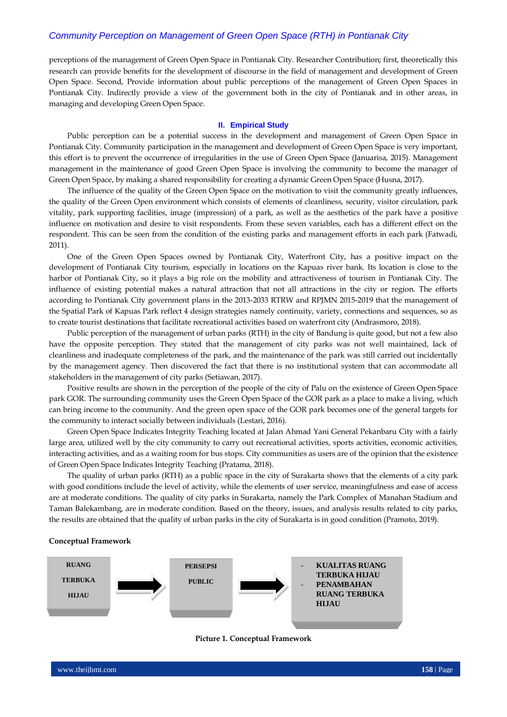perceptions of the management of Green Open Space in Pontianak City. Researcher Contribution; first, theoretically this research can provide benefits for the development of discourse in the field of management and development of Green Open Space. Second, Provide information about public perceptions of the management of Green Open Spaces in Pontianak City. Indirectly provide a view of the government both in the city of Pontianak and in other areas, in managing and developing Green Open Space.

#### **II. Empirical Study**

Public perception can be a potential success in the development and management of Green Open Space in Pontianak City. Community participation in the management and development of Green Open Space is very important, this effort is to prevent the occurrence of irregularities in the use of Green Open Space (Januarisa, 2015). Management management in the maintenance of good Green Open Space is involving the community to become the manager of Green Open Space, by making a shared responsibility for creating a dynamic Green Open Space (Husna, 2017).

The influence of the quality of the Green Open Space on the motivation to visit the community greatly influences, the quality of the Green Open environment which consists of elements of cleanliness, security, visitor circulation, park vitality, park supporting facilities, image (impression) of a park, as well as the aesthetics of the park have a positive influence on motivation and desire to visit respondents. From these seven variables, each has a different effect on the respondent. This can be seen from the condition of the existing parks and management efforts in each park (Fatwadi, 2011).

One of the Green Open Spaces owned by Pontianak City, Waterfront City, has a positive impact on the development of Pontianak City tourism, especially in locations on the Kapuas river bank. Its location is close to the harbor of Pontianak City, so it plays a big role on the mobility and attractiveness of tourism in Pontianak City. The influence of existing potential makes a natural attraction that not all attractions in the city or region. The efforts according to Pontianak City government plans in the 2013-2033 RTRW and RPJMN 2015-2019 that the management of the Spatial Park of Kapuas Park reflect 4 design strategies namely continuity, variety, connections and sequences, so as to create tourist destinations that facilitate recreational activities based on waterfront city (Andrasmoro, 2018).

Public perception of the management of urban parks (RTH) in the city of Bandung is quite good, but not a few also have the opposite perception. They stated that the management of city parks was not well maintained, lack of cleanliness and inadequate completeness of the park, and the maintenance of the park was still carried out incidentally by the management agency. Then discovered the fact that there is no institutional system that can accommodate all stakeholders in the management of city parks (Setiawan, 2017).

Positive results are shown in the perception of the people of the city of Palu on the existence of Green Open Space park GOR. The surrounding community uses the Green Open Space of the GOR park as a place to make a living, which can bring income to the community. And the green open space of the GOR park becomes one of the general targets for the community to interact socially between individuals (Lestari, 2016).

Green Open Space Indicates Integrity Teaching located at Jalan Ahmad Yani General Pekanbaru City with a fairly large area, utilized well by the city community to carry out recreational activities, sports activities, economic activities, interacting activities, and as a waiting room for bus stops. City communities as users are of the opinion that the existence of Green Open Space Indicates Integrity Teaching (Pratama, 2018).

The quality of urban parks (RTH) as a public space in the city of Surakarta shows that the elements of a city park with good conditions include the level of activity, while the elements of user service, meaningfulness and ease of access are at moderate conditions. The quality of city parks in Surakarta, namely the Park Complex of Manahan Stadium and Taman Balekambang, are in moderate condition. Based on the theory, issues, and analysis results related to city parks, the results are obtained that the quality of urban parks in the city of Surakarta is in good condition (Pramoto, 2019).

#### **Conceptual Framework**



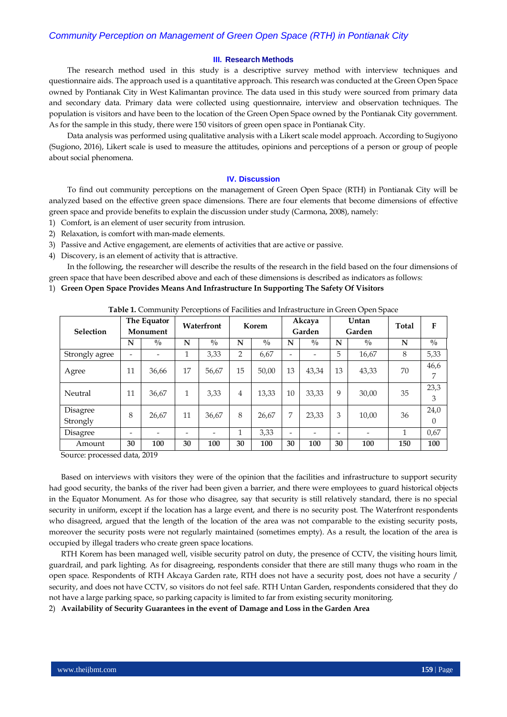#### **III. Research Methods**

The research method used in this study is a descriptive survey method with interview techniques and questionnaire aids. The approach used is a quantitative approach. This research was conducted at the Green Open Space owned by Pontianak City in West Kalimantan province. The data used in this study were sourced from primary data and secondary data. Primary data were collected using questionnaire, interview and observation techniques. The population is visitors and have been to the location of the Green Open Space owned by the Pontianak City government. As for the sample in this study, there were 150 visitors of green open space in Pontianak City.

Data analysis was performed using qualitative analysis with a Likert scale model approach. According to Sugiyono (Sugiono, 2016), Likert scale is used to measure the attitudes, opinions and perceptions of a person or group of people about social phenomena.

#### **IV. Discussion**

To find out community perceptions on the management of Green Open Space (RTH) in Pontianak City will be analyzed based on the effective green space dimensions. There are four elements that become dimensions of effective green space and provide benefits to explain the discussion under study (Carmona, 2008), namely:

- 1) Comfort, is an element of user security from intrusion.
- 2) Relaxation, is comfort with man-made elements.
- 3) Passive and Active engagement, are elements of activities that are active or passive.
- 4) Discovery, is an element of activity that is attractive.

In the following, the researcher will describe the results of the research in the field based on the four dimensions of green space that have been described above and each of these dimensions is described as indicators as follows:

1) **Green Open Space Provides Means And Infrastructure In Supporting The Safety Of Visitors**

|                      |    |                         |    |               |                |               |                          |                  |    | Table 1. Community I Citephons of Facinties and minastracture in Orech Open Space |       |               |
|----------------------|----|-------------------------|----|---------------|----------------|---------------|--------------------------|------------------|----|-----------------------------------------------------------------------------------|-------|---------------|
| <b>Selection</b>     |    | The Equator<br>Monument |    | Waterfront    |                | Korem         |                          | Akcaya<br>Garden |    | Untan<br>Garden                                                                   | Total | F             |
|                      | N  | $^{0}/_{0}$             | N  | $\frac{0}{0}$ | N              | $\frac{0}{0}$ | N                        | $\frac{0}{0}$    | N  | $\frac{0}{0}$                                                                     | N     | $\frac{0}{0}$ |
| Strongly agree       |    |                         | 1  | 3,33          | 2              | 6,67          | $\overline{\phantom{0}}$ | -                | 5  | 16,67                                                                             | 8     | 5,33          |
| Agree                | 11 | 36,66                   | 17 | 56,67         | 15             | 50.00         | 13                       | 43,34            | 13 | 43,33                                                                             | 70    | 46,6<br>7     |
| Neutral              | 11 | 36,67                   | 1  | 3,33          | $\overline{4}$ | 13.33         | 10                       | 33,33            | 9  | 30,00                                                                             | 35    | 23,3<br>3     |
| Disagree<br>Strongly | 8  | 26,67                   | 11 | 36,67         | 8              | 26,67         | 7                        | 23,33            | 3  | 10,00                                                                             | 36    | 24,0<br>0     |
| Disagree             | ٠  |                         | -  |               | 1              | 3,33          | -                        |                  |    |                                                                                   | 1     | 0,67          |
| Amount               | 30 | 100                     | 30 | 100           | 30             | 100           | 30                       | 100              | 30 | 100                                                                               | 150   | 100           |

**Table 1.** Community Perceptions of Facilities and Infrastructure in Green Open Space

Source: processed data, 2019

Based on interviews with visitors they were of the opinion that the facilities and infrastructure to support security had good security, the banks of the river had been given a barrier, and there were employees to guard historical objects in the Equator Monument. As for those who disagree, say that security is still relatively standard, there is no special security in uniform, except if the location has a large event, and there is no security post. The Waterfront respondents who disagreed, argued that the length of the location of the area was not comparable to the existing security posts, moreover the security posts were not regularly maintained (sometimes empty). As a result, the location of the area is occupied by illegal traders who create green space locations.

RTH Korem has been managed well, visible security patrol on duty, the presence of CCTV, the visiting hours limit, guardrail, and park lighting. As for disagreeing, respondents consider that there are still many thugs who roam in the open space. Respondents of RTH Akcaya Garden rate, RTH does not have a security post, does not have a security / security, and does not have CCTV, so visitors do not feel safe. RTH Untan Garden, respondents considered that they do not have a large parking space, so parking capacity is limited to far from existing security monitoring.

2) **Availability of Security Guarantees in the event of Damage and Loss in the Garden Area**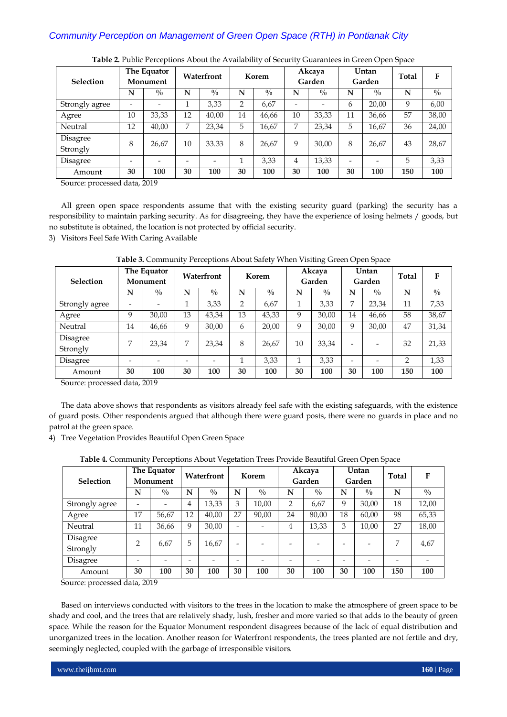| <b>Selection</b>     |                | The Equator<br>Monument  |                          | Waterfront  |                | Korem         |    | Akcaya<br>Garden |                          | Untan<br>Garden          | Total | F             |
|----------------------|----------------|--------------------------|--------------------------|-------------|----------------|---------------|----|------------------|--------------------------|--------------------------|-------|---------------|
|                      | N              | $^{0}/_{0}$              | N                        | $^{0}/_{0}$ | N              | $\frac{0}{0}$ | N  | $\frac{0}{0}$    | N                        | $^{0}/_{0}$              | N     | $\sqrt[0]{0}$ |
| Strongly agree       | $\overline{a}$ | $\overline{\phantom{0}}$ | 1                        | 3.33        | $\overline{2}$ | 6,67          | -  |                  | 6                        | 20,00                    | 9     | 6,00          |
| Agree                | 10             | 33,33                    | 12                       | 40,00       | 14             | 46,66         | 10 | 33,33            | 11                       | 36,66                    | 57    | 38,00         |
| Neutral              | 12             | 40,00                    | 7                        | 23,34       | 5              | 16,67         | 7  | 23,34            | 5                        | 16,67                    | 36    | 24,00         |
| Disagree<br>Strongly | 8              | 26,67                    | 10                       | 33.33       | 8              | 26,67         | 9  | 30,00            | 8                        | 26,67                    | 43    | 28,67         |
| Disagree             | -              | $\overline{\phantom{0}}$ | $\overline{\phantom{0}}$ |             |                | 3,33          | 4  | 13,33            | $\overline{\phantom{0}}$ | $\overline{\phantom{0}}$ | 5     | 3,33          |
| Amount               | 30             | 100                      | 30                       | 100         | 30             | 100           | 30 | 100              | 30                       | 100                      | 150   | 100           |

**Table 2.** Public Perceptions About the Availability of Security Guarantees in Green Open Space

Source: processed data, 2019

All green open space respondents assume that with the existing security guard (parking) the security has a responsibility to maintain parking security. As for disagreeing, they have the experience of losing helmets / goods, but no substitute is obtained, the location is not protected by official security.

3) Visitors Feel Safe With Caring Available

| <b>Selection</b>     |    | The Equator<br>Monument  |                          | Waterfront               |                | Korem       |    | Akcaya<br>Garden |                          | Untan<br>Garden          | Total | F             |
|----------------------|----|--------------------------|--------------------------|--------------------------|----------------|-------------|----|------------------|--------------------------|--------------------------|-------|---------------|
|                      | N  | $\frac{0}{0}$            | N                        | $\frac{0}{0}$            | N              | $^{0}/_{0}$ | N  | $^{0}/_{0}$      | N                        | $^{0}/_{0}$              | N     | $\sqrt[0]{0}$ |
| Strongly agree       |    |                          | 1                        | 3,33                     | $\overline{2}$ | 6,67        |    | 3,33             | 7                        | 23.34                    | 11    | 7,33          |
| Agree                | 9  | 30,00                    | 13                       | 43,34                    | 13             | 43,33       | 9  | 30,00            | 14                       | 46,66                    | 58    | 38,67         |
| Neutral              | 14 | 46,66                    | 9                        | 30,00                    | 6              | 20,00       | 9  | 30,00            | 9                        | 30,00                    | 47    | 31,34         |
| Disagree<br>Strongly | 7  | 23,34                    | 7                        | 23,34                    | 8              | 26,67       | 10 | 33,34            | -                        | $\overline{\phantom{a}}$ | 32    | 21,33         |
| Disagree             |    | $\overline{\phantom{0}}$ | $\overline{\phantom{0}}$ | $\overline{\phantom{0}}$ |                | 3.33        | п  | 3,33             | $\overline{\phantom{0}}$ | $\overline{\phantom{0}}$ | 2     | 1,33          |
| Amount               | 30 | 100                      | 30                       | 100                      | 30             | 100         | 30 | 100              | 30                       | 100                      | 150   | 100           |

**Table 3.** Community Perceptions About Safety When Visiting Green Open Space

Source: processed data, 2019

The data above shows that respondents as visitors already feel safe with the existing safeguards, with the existence of guard posts. Other respondents argued that although there were guard posts, there were no guards in place and no patrol at the green space.

4) Tree Vegetation Provides Beautiful Open Green Space

| Table 4. Community Perceptions About Vegetation Trees Provide Beautiful Green Open Space |  |  |  |
|------------------------------------------------------------------------------------------|--|--|--|
|------------------------------------------------------------------------------------------|--|--|--|

| <b>Selection</b> |                          | The Equator<br>Monument  |    | Waterfront               |                          | Korem         |                | Akcaya<br>Garden |                          | Untan<br>Garden          | Total                    | F             |
|------------------|--------------------------|--------------------------|----|--------------------------|--------------------------|---------------|----------------|------------------|--------------------------|--------------------------|--------------------------|---------------|
|                  | N                        | $\frac{0}{0}$            | N  | $\frac{0}{0}$            | N                        | $\frac{0}{0}$ | N              | $\frac{0}{0}$    | N                        | $\frac{0}{0}$            | N                        | $\frac{0}{0}$ |
| Strongly agree   | $\overline{\phantom{0}}$ | $\overline{\phantom{0}}$ | 4  | 13,33                    | 3                        | 10,00         | $\overline{2}$ | 6,67             | 9                        | 30,00                    | 18                       | 12,00         |
| Agree            | 17                       | 56,67                    | 12 | 40,00                    | 27                       | 90,00         | 24             | 80,00            | 18                       | 60,00                    | 98                       | 65,33         |
| Neutral          | 11                       | 36,66                    | 9  | 30,00                    | $\overline{\phantom{0}}$ | ۰             | 4              | 13,33            | 3                        | 10,00                    | 27                       | 18,00         |
| Disagree         | $\overline{2}$           | 6.67                     | 5  | 16,67                    | $\overline{\phantom{0}}$ | -             | -              |                  | -                        |                          | 7                        | 4,67          |
| Strongly         |                          |                          |    |                          |                          |               |                |                  |                          |                          |                          |               |
| Disagree         | -                        | -                        | -  | $\overline{\phantom{a}}$ | $\overline{\phantom{0}}$ | ۰             | ۰              | -                | $\overline{\phantom{0}}$ | $\overline{\phantom{0}}$ | $\overline{\phantom{0}}$ |               |
| Amount           | 30                       | 100                      | 30 | 100                      | 30                       | 100           | 30             | 100              | 30                       | 100                      | 150                      | 100           |

Source: processed data, 2019

Based on interviews conducted with visitors to the trees in the location to make the atmosphere of green space to be shady and cool, and the trees that are relatively shady, lush, fresher and more varied so that adds to the beauty of green space. While the reason for the Equator Monument respondent disagrees because of the lack of equal distribution and unorganized trees in the location. Another reason for Waterfront respondents, the trees planted are not fertile and dry, seemingly neglected, coupled with the garbage of irresponsible visitors.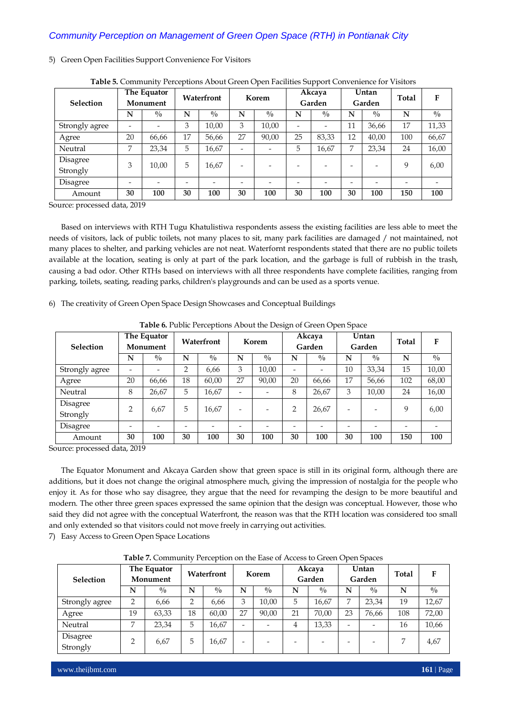| <b>Selection</b>     |                          | The Equator<br>Monument |    | Waterfront    |                          | Korem       |    | Akcaya<br>Garden |    | Untan<br>Garden | Total | F             |
|----------------------|--------------------------|-------------------------|----|---------------|--------------------------|-------------|----|------------------|----|-----------------|-------|---------------|
|                      | N                        | $\frac{0}{0}$           | N  | $\frac{0}{0}$ | N                        | $^{0}/_{0}$ | N  | $^{0}/_{0}$      | N  | $^{0}/_{0}$     | N     | $\frac{0}{0}$ |
| Strongly agree       | $\overline{\phantom{0}}$ |                         | 3  | 10,00         | 3                        | 10,00       |    |                  | 11 | 36,66           | 17    | 11,33         |
| Agree                | 20                       | 66,66                   | 17 | 56,66         | 27                       | 90,00       | 25 | 83,33            | 12 | 40,00           | 100   | 66,67         |
| Neutral              | 7                        | 23,34                   | 5  | 16,67         |                          |             | 5  | 16,67            | 7  | 23,34           | 24    | 16,00         |
| Disagree<br>Strongly | 3                        | 10,00                   | 5  | 16,67         | $\overline{\phantom{0}}$ |             |    |                  |    |                 | 9     | 6,00          |
| Disagree             | -                        |                         |    |               |                          |             |    |                  |    |                 |       |               |
| Amount               | 30                       | 100                     | 30 | 100           | 30                       | 100         | 30 | 100              | 30 | 100             | 150   | 100           |

### 5) Green Open Facilities Support Convenience For Visitors

| Table 5. Community Perceptions About Green Open Facilities Support Convenience for Visitors |
|---------------------------------------------------------------------------------------------|
|                                                                                             |

Source: processed data, 2019

Based on interviews with RTH Tugu Khatulistiwa respondents assess the existing facilities are less able to meet the needs of visitors, lack of public toilets, not many places to sit, many park facilities are damaged / not maintained, not many places to shelter, and parking vehicles are not neat. Waterfornt respondents stated that there are no public toilets available at the location, seating is only at part of the park location, and the garbage is full of rubbish in the trash, causing a bad odor. Other RTHs based on interviews with all three respondents have complete facilities, ranging from parking, toilets, seating, reading parks, children's playgrounds and can be used as a sports venue.

6) The creativity of Green Open Space Design Showcases and Conceptual Buildings

|                  |                          | <b>Table 0.</b> I ablic I electribilis About the Design of Green Open Space |    |             |                          |               |    |                  |    |                 |       |               |
|------------------|--------------------------|-----------------------------------------------------------------------------|----|-------------|--------------------------|---------------|----|------------------|----|-----------------|-------|---------------|
| <b>Selection</b> |                          | The Equator<br>Monument                                                     |    | Waterfront  |                          | Korem         |    | Akcaya<br>Garden |    | Untan<br>Garden | Total | F             |
|                  | N                        | $^{0}/_{0}$                                                                 | N  | $^{0}/_{0}$ | N                        | $\frac{0}{0}$ | N  | $^{0}/_{0}$      | N  | $^{0}/_{0}$     | N     | $\frac{0}{0}$ |
| Strongly agree   | $\overline{\phantom{0}}$ |                                                                             | 2  | 6.66        | 3                        | 10.00         | -  |                  | 10 | 33,34           | 15    | 10,00         |
| Agree            | 20                       | 66,66                                                                       | 18 | 60,00       | 27                       | 90,00         | 20 | 66,66            | 17 | 56,66           | 102   | 68,00         |
| Neutral          | 8                        | 26,67                                                                       | 5  | 16,67       | -                        |               | 8  | 26,67            | 3  | 10,00           | 24    | 16,00         |
| Disagree         | $\overline{2}$           | 6,67                                                                        | 5  | 16,67       | $\overline{\phantom{0}}$ |               | 2  | 26,67            | -  |                 | Q     | 6,00          |
| Strongly         |                          |                                                                             |    |             |                          |               |    |                  |    |                 |       |               |
| Disagree         | $\overline{\phantom{0}}$ |                                                                             |    |             |                          |               |    |                  |    |                 |       |               |
| Amount           | 30                       | 100                                                                         | 30 | 100         | 30                       | 100           | 30 | 100              | 30 | 100             | 150   | 100           |

**Table 6.** Public Perceptions About the Design of Green Open Space

Source: processed data, 2019

The Equator Monument and Akcaya Garden show that green space is still in its original form, although there are additions, but it does not change the original atmosphere much, giving the impression of nostalgia for the people who enjoy it. As for those who say disagree, they argue that the need for revamping the design to be more beautiful and modern. The other three green spaces expressed the same opinion that the design was conceptual. However, those who said they did not agree with the conceptual Waterfront, the reason was that the RTH location was considered too small and only extended so that visitors could not move freely in carrying out activities.

7) Easy Access to Green Open Space Locations

| Selection            |    | The Equator<br>Monument |    | Waterfront  |                          | Korem    |                          | Akcaya<br>Garden |                | Untan<br>Garden          | Total | F             |
|----------------------|----|-------------------------|----|-------------|--------------------------|----------|--------------------------|------------------|----------------|--------------------------|-------|---------------|
|                      | N  | $\frac{0}{0}$           | N  | $^{0}/_{0}$ | N                        | $^{0/0}$ |                          | $\frac{0}{0}$    | N              | $^{0}/_{0}$              | N     | $\frac{0}{0}$ |
| Strongly agree       | 2  | 6,66                    | 2  | 6,66        | 3                        | 10.00    | 5                        | 16,67            | 7              | 23,34                    | 19    | 12,67         |
| Agree                | 19 | 63,33                   | 18 | 60.00       | 27                       | 90.00    | 21                       | 70.00            | 23             | 76.66                    | 108   | 72,00         |
| Neutral              | 7  | 23,34                   | 5  | 16,67       | $\overline{\phantom{0}}$ |          | 4                        | 13,33            | $\overline{a}$ | $\overline{\phantom{0}}$ | 16    | 10,66         |
| Disagree<br>Strongly | 2  | 6,67                    | 5  | 16,67       | $\overline{\phantom{0}}$ |          | $\overline{\phantom{0}}$ |                  | -              | -                        |       | 4,67          |

**Table 7.** Community Perception on the Ease of Access to Green Open Spaces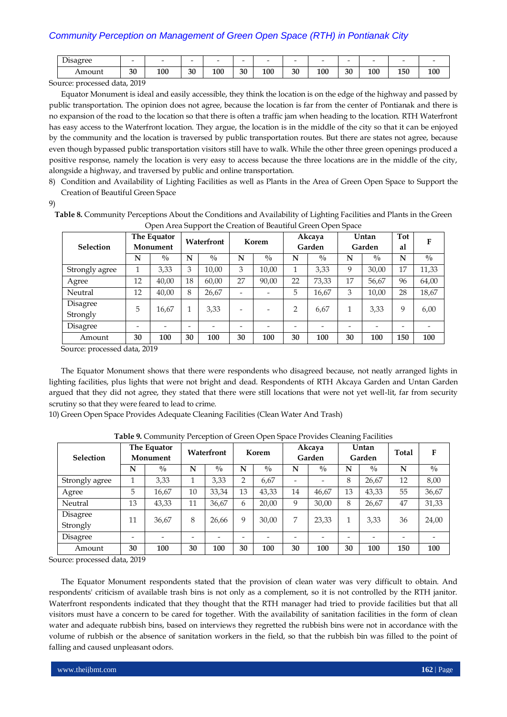| $\mathbf{r}$<br>Disagree |    | $\overline{\phantom{0}}$ | $\overline{\phantom{0}}$ |           |    | $\overline{\phantom{0}}$ | $\overline{\phantom{a}}$ |     | $\overline{\phantom{a}}$ | $\overline{\phantom{a}}$ |             |     |
|--------------------------|----|--------------------------|--------------------------|-----------|----|--------------------------|--------------------------|-----|--------------------------|--------------------------|-------------|-----|
| Amoun                    | 30 | 100<br>__                | 30                       | 100<br>__ | 30 | 100                      | 30                       | 100 | 30                       | 100                      | 150<br>____ | 100 |

Source: processed data, 2019

Equator Monument is ideal and easily accessible, they think the location is on the edge of the highway and passed by public transportation. The opinion does not agree, because the location is far from the center of Pontianak and there is no expansion of the road to the location so that there is often a traffic jam when heading to the location. RTH Waterfront has easy access to the Waterfront location. They argue, the location is in the middle of the city so that it can be enjoyed by the community and the location is traversed by public transportation routes. But there are states not agree, because even though bypassed public transportation visitors still have to walk. While the other three green openings produced a positive response, namely the location is very easy to access because the three locations are in the middle of the city, alongside a highway, and traversed by public and online transportation.

8) Condition and Availability of Lighting Facilities as well as Plants in the Area of Green Open Space to Support the Creation of Beautiful Green Space

9)

**Table 8.** Community Perceptions About the Conditions and Availability of Lighting Facilities and Plants in the Green Open Area Support the Creation of Beautiful Green Open Space

|                  |    | The Equator   |    | Waterfront    |    | Korem                    |                          | Akcaya        |    | Untan                    | <b>Tot</b> | F             |
|------------------|----|---------------|----|---------------|----|--------------------------|--------------------------|---------------|----|--------------------------|------------|---------------|
| <b>Selection</b> |    | Monument      |    |               |    |                          |                          | Garden        |    | Garden                   | al         |               |
|                  | N  | $\frac{0}{0}$ | N  | $\frac{0}{0}$ | N  | $^{0}/_{0}$              | N                        | $\frac{0}{0}$ | N  | $^{0/0}$                 | N          | $\frac{0}{0}$ |
| Strongly agree   | 1  | 3,33          | 3  | 10,00         | 3  | 10,00                    |                          | 3,33          | 9  | 30,00                    | 17         | 11,33         |
| Agree            | 12 | 40,00         | 18 | 60,00         | 27 | 90,00                    | 22                       | 73,33         | 17 | 56,67                    | 96         | 64,00         |
| Neutral          | 12 | 40.00         | 8  | 26,67         | ۰  | $\overline{\phantom{0}}$ | 5                        | 16,67         | 3  | 10,00                    | 28         | 18,67         |
| Disagree         | 5  | 16,67         |    | 3,33          | -  | $\overline{\phantom{0}}$ | 2                        | 6,67          | 1  | 3,33                     | 9          | 6,00          |
| Strongly         |    |               |    |               |    |                          |                          |               |    |                          |            |               |
| Disagree         |    | -             | -  |               |    | $\overline{\phantom{0}}$ | $\overline{\phantom{a}}$ |               | -  | $\overline{\phantom{0}}$ | ۰          |               |
| Amount           | 30 | 100           | 30 | 100           | 30 | 100                      | 30                       | 100           | 30 | 100                      | 150        | 100           |

Source: processed data, 2019

The Equator Monument shows that there were respondents who disagreed because, not neatly arranged lights in lighting facilities, plus lights that were not bright and dead. Respondents of RTH Akcaya Garden and Untan Garden argued that they did not agree, they stated that there were still locations that were not yet well-lit, far from security scrutiny so that they were feared to lead to crime.

10) Green Open Space Provides Adequate Cleaning Facilities (Clean Water And Trash)

| Selection            |    | The Equator<br>Monument |    | Waterfront  |                | Korem         |    | Akcaya<br>Garden         |    | Untan<br>Garden          | Total | F             |
|----------------------|----|-------------------------|----|-------------|----------------|---------------|----|--------------------------|----|--------------------------|-------|---------------|
|                      | N  | $\frac{0}{0}$           | N  | $^{0}/_{0}$ | N              | $\frac{0}{0}$ | N  | $^{0}/_{0}$              | N  | $\frac{0}{0}$            | N     | $\frac{0}{0}$ |
| Strongly agree       |    | 3,33                    | 1  | 3.33        | $\overline{2}$ | 6,67          | -  | $\overline{\phantom{a}}$ | 8  | 26,67                    | 12    | 8,00          |
| Agree                | 5  | 16,67                   | 10 | 33,34       | 13             | 43,33         | 14 | 46,67                    | 13 | 43,33                    | 55    | 36,67         |
| Neutral              | 13 | 43,33                   | 11 | 36,67       | 6              | 20,00         | 9  | 30,00                    | 8  | 26,67                    | 47    | 31,33         |
| Disagree<br>Strongly | 11 | 36,67                   | 8  | 26,66       | 9              | 30,00         | 7  | 23,33                    | 1  | 3,33                     | 36    | 24,00         |
| Disagree             | ۰  |                         | ۰  | ۰           | ۰              |               |    | ۰                        | -  | $\overline{\phantom{0}}$ |       |               |
| Amount               | 30 | 100                     | 30 | 100         | 30             | 100           | 30 | 100                      | 30 | 100                      | 150   | 100           |

**Table 9.** Community Perception of Green Open Space Provides Cleaning Facilities

Source: processed data, 2019

The Equator Monument respondents stated that the provision of clean water was very difficult to obtain. And respondents' criticism of available trash bins is not only as a complement, so it is not controlled by the RTH janitor. Waterfront respondents indicated that they thought that the RTH manager had tried to provide facilities but that all visitors must have a concern to be cared for together. With the availability of sanitation facilities in the form of clean water and adequate rubbish bins, based on interviews they regretted the rubbish bins were not in accordance with the volume of rubbish or the absence of sanitation workers in the field, so that the rubbish bin was filled to the point of falling and caused unpleasant odors.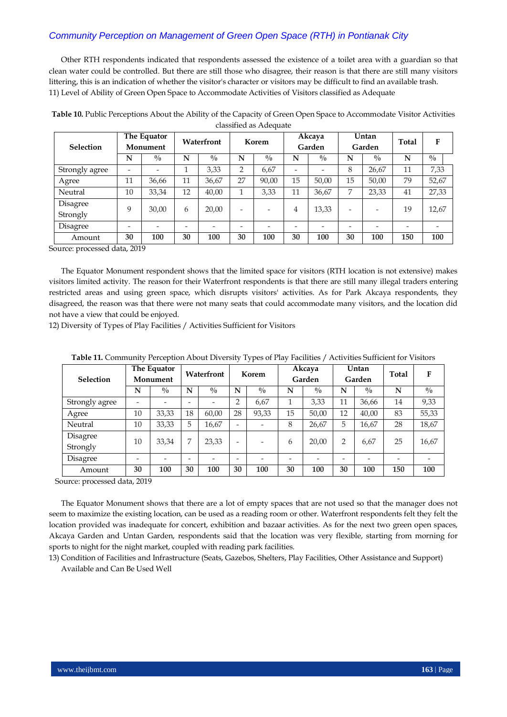Other RTH respondents indicated that respondents assessed the existence of a toilet area with a guardian so that clean water could be controlled. But there are still those who disagree, their reason is that there are still many visitors littering, this is an indication of whether the visitor's character or visitors may be difficult to find an available trash. 11) Level of Ability of Green Open Space to Accommodate Activities of Visitors classified as Adequate

| Selection            |                          | The Equator<br>Monument |    | Waterfront    |                | Korem       |                          | Akcaya<br>Garden         | Untan<br>Garden          |                          | Total | F           |
|----------------------|--------------------------|-------------------------|----|---------------|----------------|-------------|--------------------------|--------------------------|--------------------------|--------------------------|-------|-------------|
|                      | N                        | $^{0}/_{0}$             | N  | $\frac{0}{0}$ | N              | $^{0}/_{0}$ | N                        | $^{0}/_{0}$              | N                        | $^{0}/_{0}$              | N     | $^{0}/_{0}$ |
| Strongly agree       | $\overline{\phantom{0}}$ |                         | 1  | 3,33          | $\overline{2}$ | 6,67        | $\overline{\phantom{0}}$ | $\overline{\phantom{0}}$ | 8                        | 26,67                    | 11    | 7,33        |
| Agree                | 11                       | 36,66                   | 11 | 36,67         | 27             | 90.00       | 15                       | 50.00                    | 15                       | 50,00                    | 79    | 52,67       |
| Neutral              | 10                       | 33,34                   | 12 | 40,00         | 1              | 3,33        | 11                       | 36,67                    | 7                        | 23,33                    | 41    | 27,33       |
| Disagree<br>Strongly | 9                        | 30,00                   | 6  | 20,00         | -              |             | $\overline{4}$           | 13,33                    | $\overline{\phantom{0}}$ | ٠                        | 19    | 12,67       |
| Disagree             | -                        |                         | -  |               |                | ۰           | -                        | $\overline{\phantom{0}}$ | -                        | $\overline{\phantom{0}}$ |       |             |
| Amount               | 30                       | 100                     | 30 | 100           | 30             | 100         | 30                       | 100                      | 30                       | 100                      | 150   | 100         |

**Table 10.** Public Perceptions About the Ability of the Capacity of Green Open Space to Accommodate Visitor Activities classified as Adequate

Source: processed data, 2019

The Equator Monument respondent shows that the limited space for visitors (RTH location is not extensive) makes visitors limited activity. The reason for their Waterfront respondents is that there are still many illegal traders entering restricted areas and using green space, which disrupts visitors' activities. As for Park Akcaya respondents, they disagreed, the reason was that there were not many seats that could accommodate many visitors, and the location did not have a view that could be enjoyed.

12) Diversity of Types of Play Facilities / Activities Sufficient for Visitors

| <b>Selection</b> | The Equator<br>Monument |                | Waterfront |             | Korem                    |                          | Akcaya<br>Garden |               | Untan<br>Garden |                | <b>Total</b> | F             |
|------------------|-------------------------|----------------|------------|-------------|--------------------------|--------------------------|------------------|---------------|-----------------|----------------|--------------|---------------|
|                  | N                       | $^{0}/_{0}$    | N          | $^{0}/_{0}$ | N                        | $\frac{0}{0}$            | N                | $\frac{0}{0}$ | N               | $^{0/0}$       | N            | $\frac{0}{0}$ |
| Strongly agree   |                         | $\overline{a}$ | -          |             | 2                        | 6,67                     | 1                | 3,33          | 11              | 36,66          | 14           | 9,33          |
| Agree            | 10                      | 33.33          | 18         | 60,00       | 28                       | 93,33                    | 15               | 50,00         | 12              | 40,00          | 83           | 55,33         |
| Neutral          | 10                      | 33,33          | 5          | 16,67       | $\qquad \qquad$          | $\overline{\phantom{0}}$ | 8                | 26,67         | 5               | 16,67          | 28           | 18,67         |
| Disagree         | 10                      | 33,34          | 7          | 23,33       | $\overline{\phantom{a}}$ | $\overline{\phantom{0}}$ | 6                | 20,00         | $\overline{2}$  | 6,67           | 25           | 16,67         |
| Strongly         |                         |                |            |             |                          |                          |                  |               |                 |                |              |               |
| Disagree         | ٠                       | $\overline{a}$ | ۰          |             | ٠                        | $\overline{\phantom{0}}$ |                  |               | -               | $\overline{a}$ |              |               |
| Amount           | 30                      | 100            | 30         | 100         | 30                       | 100                      | 30               | 100           | 30              | 100            | 150          | 100           |

**Table 11.** Community Perception About Diversity Types of Play Facilities / Activities Sufficient for Visitors

Source: processed data, 2019

The Equator Monument shows that there are a lot of empty spaces that are not used so that the manager does not seem to maximize the existing location, can be used as a reading room or other. Waterfront respondents felt they felt the location provided was inadequate for concert, exhibition and bazaar activities. As for the next two green open spaces, Akcaya Garden and Untan Garden, respondents said that the location was very flexible, starting from morning for sports to night for the night market, coupled with reading park facilities.

13) Condition of Facilities and Infrastructure (Seats, Gazebos, Shelters, Play Facilities, Other Assistance and Support) Available and Can Be Used Well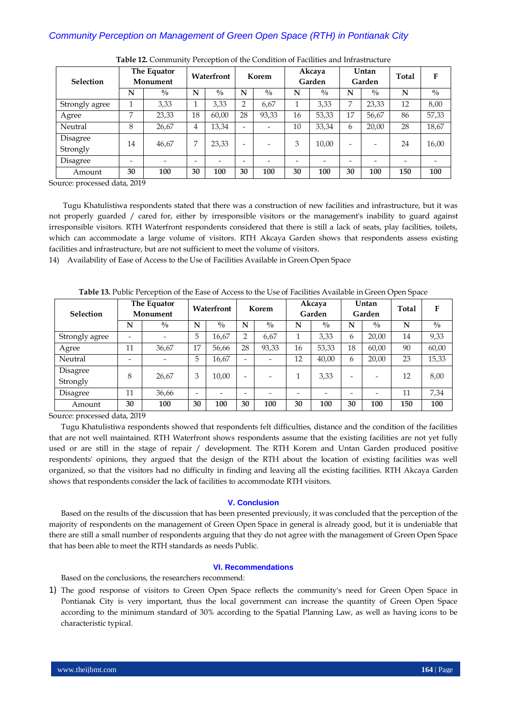| Selection            | The Equator<br>Monument  |                          | Waterfront               |                          | Korem                    |                          | Akcaya<br>Garden         |             | Untan<br>Garden |             | Total | F             |
|----------------------|--------------------------|--------------------------|--------------------------|--------------------------|--------------------------|--------------------------|--------------------------|-------------|-----------------|-------------|-------|---------------|
|                      | N                        | $\frac{0}{0}$            | N                        | $\frac{0}{0}$            | N                        | $^{0}/_{0}$              | N                        | $^{0}/_{0}$ | N               | $^{0}/_{0}$ | N     | $\frac{0}{0}$ |
| Strongly agree       |                          | 3,33                     | и                        | 3,33                     | ∍                        | 6,67                     |                          | 3,33        | 7               | 23,33       | 12    | 8,00          |
| Agree                | 7                        | 23,33                    | 18                       | 60,00                    | 28                       | 93,33                    | 16                       | 53,33       | 17              | 56,67       | 86    | 57,33         |
| Neutral              | 8                        | 26,67                    | 4                        | 13,34                    | $\overline{\phantom{0}}$ | $\overline{\phantom{0}}$ | 10                       | 33,34       | 6               | 20,00       | 28    | 18,67         |
| Disagree<br>Strongly | 14                       | 46,67                    | 7                        | 23,33                    | $\overline{\phantom{0}}$ |                          | 3                        | 10,00       | -               | -           | 24    | 16,00         |
| Disagree             | $\overline{\phantom{0}}$ | $\overline{\phantom{0}}$ | $\overline{\phantom{a}}$ | $\overline{\phantom{a}}$ | $\overline{\phantom{0}}$ | ۰                        | $\overline{\phantom{a}}$ |             | -               | -           | ۰     |               |
| Amount               | 30                       | 100                      | 30                       | 100                      | 30                       | 100                      | 30                       | 100         | 30              | 100         | 150   | 100           |

**Table 12.** Community Perception of the Condition of Facilities and Infrastructure

Source: processed data, 2019

Tugu Khatulistiwa respondents stated that there was a construction of new facilities and infrastructure, but it was not properly guarded / cared for, either by irresponsible visitors or the management's inability to guard against irresponsible visitors. RTH Waterfront respondents considered that there is still a lack of seats, play facilities, toilets, which can accommodate a large volume of visitors. RTH Akcaya Garden shows that respondents assess existing facilities and infrastructure, but are not sufficient to meet the volume of visitors.

14) Availability of Ease of Access to the Use of Facilities Available in Green Open Space

| <b>Selection</b>     | The Equator<br>Monument  |                          | Waterfront               |               | Korem                    |                          | Akcaya<br>Garden |             | Untan<br>Garden |                          | Total | F             |
|----------------------|--------------------------|--------------------------|--------------------------|---------------|--------------------------|--------------------------|------------------|-------------|-----------------|--------------------------|-------|---------------|
|                      | N                        | $\frac{0}{0}$            | N                        | $\frac{0}{0}$ | N                        | $^{0}/_{0}$              | N                | $^{0}/_{0}$ | N               | $^{0}/_{0}$              | N     | $\frac{0}{0}$ |
| Strongly agree       | $\overline{\phantom{0}}$ | -                        | 5                        | 16,67         | $\overline{2}$           | 6,67                     |                  | 3,33        | 6               | 20,00                    | 14    | 9,33          |
| Agree                | 11                       | 36,67                    | 17                       | 56,66         | 28                       | 93,33                    | 16               | 53,33       | 18              | 60,00                    | 90    | 60,00         |
| Neutral              | $\overline{\phantom{0}}$ | $\overline{\phantom{0}}$ | 5                        | 16,67         | $\overline{\phantom{0}}$ | $\overline{\phantom{0}}$ | 12               | 40,00       | 6               | 20,00                    | 23    | 15,33         |
| Disagree<br>Strongly | 8                        | 26,67                    | 3                        | 10.00         | -                        | $\overline{\phantom{a}}$ |                  | 3,33        | -               | $\overline{\phantom{0}}$ | 12    | 8,00          |
| Disagree             | 11                       | 36,66                    | $\overline{\phantom{0}}$ |               | $\overline{\phantom{0}}$ |                          |                  |             |                 |                          | 11    | 7,34          |
| Amount               | 30                       | 100                      | 30                       | 100           | 30                       | 100                      | 30               | 100         | 30              | 100                      | 150   | 100           |

**Table 13.** Public Perception of the Ease of Access to the Use of Facilities Available in Green Open Space

Source: processed data, 2019

Tugu Khatulistiwa respondents showed that respondents felt difficulties, distance and the condition of the facilities that are not well maintained. RTH Waterfront shows respondents assume that the existing facilities are not yet fully used or are still in the stage of repair / development. The RTH Korem and Untan Garden produced positive respondents' opinions, they argued that the design of the RTH about the location of existing facilities was well organized, so that the visitors had no difficulty in finding and leaving all the existing facilities. RTH Akcaya Garden shows that respondents consider the lack of facilities to accommodate RTH visitors.

#### **V. Conclusion**

Based on the results of the discussion that has been presented previously, it was concluded that the perception of the majority of respondents on the management of Green Open Space in general is already good, but it is undeniable that there are still a small number of respondents arguing that they do not agree with the management of Green Open Space that has been able to meet the RTH standards as needs Public.

### **VI. Recommendations**

Based on the conclusions, the researchers recommend:

1) The good response of visitors to Green Open Space reflects the community's need for Green Open Space in Pontianak City is very important, thus the local government can increase the quantity of Green Open Space according to the minimum standard of 30% according to the Spatial Planning Law, as well as having icons to be characteristic typical.